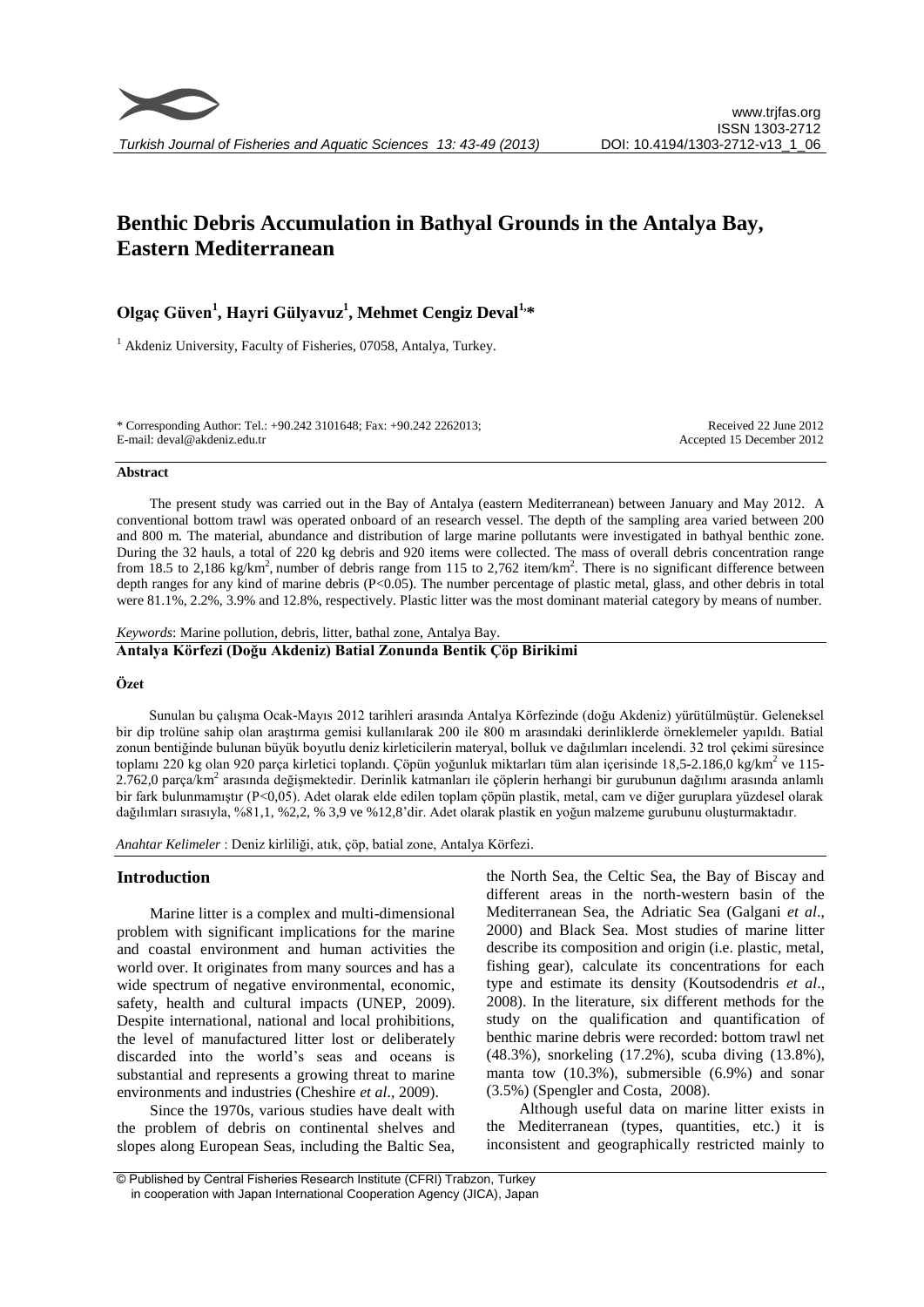# **Benthic Debris Accumulation in Bathyal Grounds in the Antalya Bay, Eastern Mediterranean**

## **Olgaç Güven<sup>1</sup> , Hayri Gülyavuz<sup>1</sup> , Mehmet Cengiz Deval1,\***

 $<sup>1</sup>$  Akdeniz University, Faculty of Fisheries, 07058, Antalya, Turkey.</sup>

\* Corresponding Author: Tel.: +90.242 3101648; Fax: +90.242 2262013; E-mail: deval@akdeniz.edu.tr

Received 22 June 2012 Accepted 15 December 2012

#### **Abstract**

The present study was carried out in the Bay of Antalya (eastern Mediterranean) between January and May 2012. A conventional bottom trawl was operated onboard of an research vessel. The depth of the sampling area varied between 200 and 800 m. The material, abundance and distribution of large marine pollutants were investigated in bathyal benthic zone. During the 32 hauls, a total of 220 kg debris and 920 items were collected. The mass of overall debris concentration range from 18.5 to 2,186 kg/km<sup>2</sup>, number of debris range from 115 to 2,762 item/km<sup>2</sup>. There is no significant difference between depth ranges for any kind of marine debris (P<0.05). The number percentage of plastic metal, glass, and other debris in total were 81.1%, 2.2%, 3.9% and 12.8%, respectively. Plastic litter was the most dominant material category by means of number.

*Keywords*: Marine pollution, debris, litter, bathal zone, Antalya Bay.

#### **Antalya Körfezi (Doğu Akdeniz) Batial Zonunda Bentik Çöp Birikimi**

#### **Özet**

Sunulan bu çalışma Ocak-Mayıs 2012 tarihleri arasında Antalya Körfezinde (doğu Akdeniz) yürütülmüştür. Geleneksel bir dip trolüne sahip olan araştırma gemisi kullanılarak 200 ile 800 m arasındaki derinliklerde örneklemeler yapıldı. Batial zonun bentiğinde bulunan büyük boyutlu deniz kirleticilerin materyal, bolluk ve dağılımları incelendi. 32 trol çekimi süresince toplamı 220 kg olan 920 parça kirletici toplandı. Çöpün yoğunluk miktarları tüm alan içerisinde 18,5-2.186,0 kg/km<sup>2</sup> ve 115-2.762,0 parça/km<sup>2</sup> arasında değişmektedir. Derinlik katmanları ile çöplerin herhangi bir gurubunun dağılımı arasında anlamlı bir fark bulunmamıştır (P<0,05). Adet olarak elde edilen toplam çöpün plastik, metal, cam ve diğer guruplara yüzdesel olarak dağılımları sırasıyla, %81,1, %2,2, % 3,9 ve %12,8'dir. Adet olarak plastik en yoğun malzeme gurubunu oluşturmaktadır.

*Anahtar Kelimeler* : Deniz kirliliği, atık, çöp, batial zone, Antalya Körfezi.

#### **Introduction**

Marine litter is a complex and multi-dimensional problem with significant implications for the marine and coastal environment and human activities the world over. It originates from many sources and has a wide spectrum of negative environmental, economic, safety, health and cultural impacts (UNEP, 2009). Despite international, national and local prohibitions, the level of manufactured litter lost or deliberately discarded into the world's seas and oceans is substantial and represents a growing threat to marine environments and industries (Cheshire *et al*., 2009).

Since the 1970s, various studies have dealt with the problem of debris on continental shelves and slopes along European Seas, including the Baltic Sea,

the North Sea, the Celtic Sea, the Bay of Biscay and different areas in the north-western basin of the Mediterranean Sea, the Adriatic Sea (Galgani *et al*., 2000) and Black Sea. Most studies of marine litter describe its composition and origin (i.e. plastic, metal, fishing gear), calculate its concentrations for each type and estimate its density (Koutsodendris *et al*., 2008). In the literature, six different methods for the study on the qualification and quantification of benthic marine debris were recorded: bottom trawl net (48.3%), snorkeling (17.2%), scuba diving (13.8%), manta tow (10.3%), submersible (6.9%) and sonar (3.5%) (Spengler and Costa, 2008).

Although useful data on marine litter exists in the Mediterranean (types, quantities, etc.) it is inconsistent and geographically restricted mainly to

<sup>©</sup> Published by Central Fisheries Research Institute (CFRI) Trabzon, Turkey in cooperation with Japan International Cooperation Agency (JICA), Japan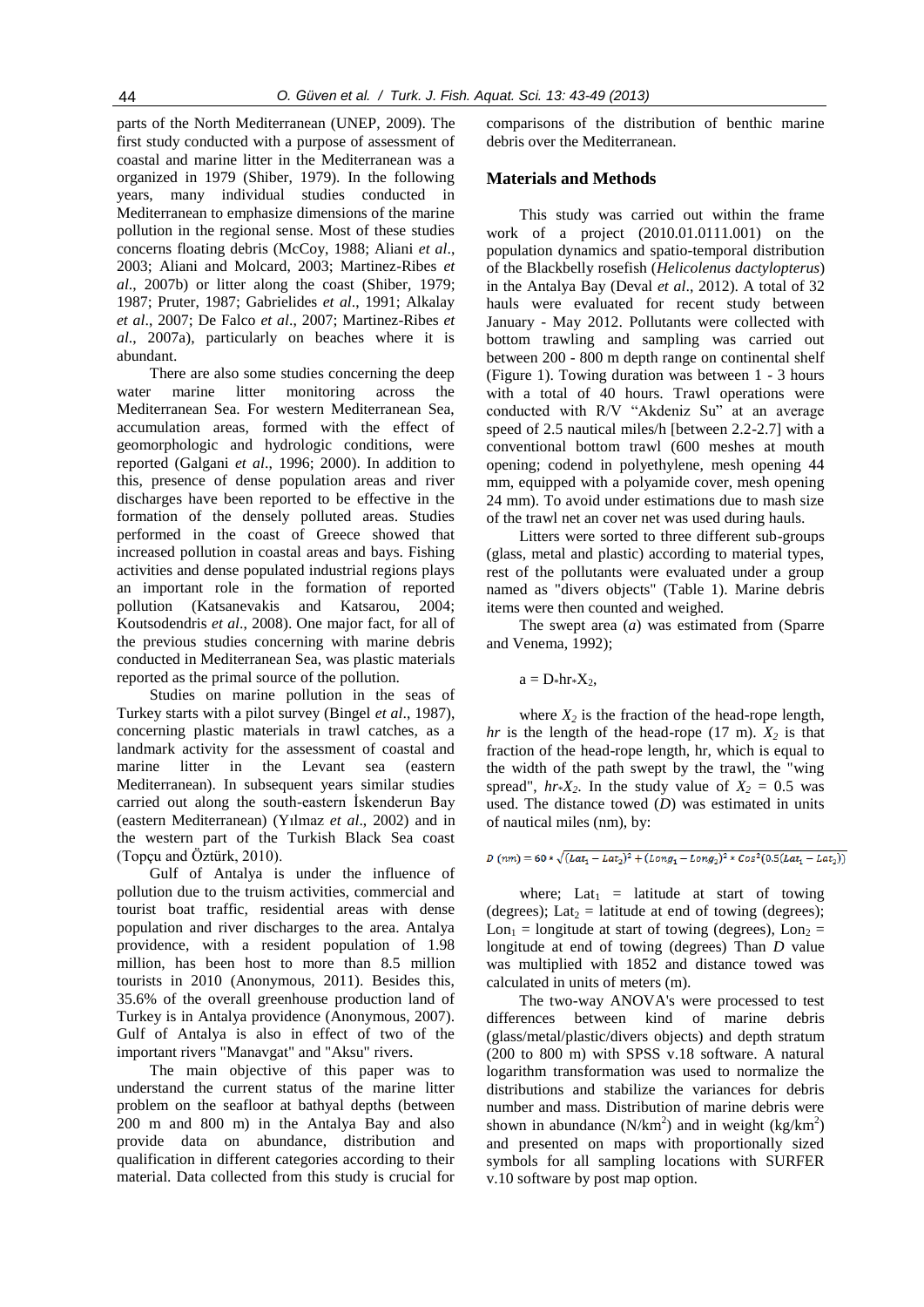parts of the North Mediterranean (UNEP, 2009). The first study conducted with a purpose of assessment of coastal and marine litter in the Mediterranean was a organized in 1979 (Shiber, 1979). In the following years, many individual studies conducted in Mediterranean to emphasize dimensions of the marine pollution in the regional sense. Most of these studies concerns floating debris (McCoy, 1988; Aliani *et al*., 2003; Aliani and Molcard, 2003; Martinez-Ribes *et al*., 2007b) or litter along the coast (Shiber, 1979; 1987; Pruter, 1987; Gabrielides *et al*., 1991; Alkalay *et al*., 2007; De Falco *et al*., 2007; Martinez-Ribes *et al*., 2007a), particularly on beaches where it is abundant.

There are also some studies concerning the deep water marine litter monitoring across the Mediterranean Sea. For western Mediterranean Sea, accumulation areas, formed with the effect of geomorphologic and hydrologic conditions, were reported (Galgani *et al*., 1996; 2000). In addition to this, presence of dense population areas and river discharges have been reported to be effective in the formation of the densely polluted areas. Studies performed in the coast of Greece showed that increased pollution in coastal areas and bays. Fishing activities and dense populated industrial regions plays an important role in the formation of reported pollution (Katsanevakis and Katsarou, 2004; Koutsodendris *et al*., 2008). One major fact, for all of the previous studies concerning with marine debris conducted in Mediterranean Sea, was plastic materials reported as the primal source of the pollution.

Studies on marine pollution in the seas of Turkey starts with a pilot survey (Bingel *et al*., 1987), concerning plastic materials in trawl catches, as a landmark activity for the assessment of coastal and marine litter in the Levant sea (eastern Mediterranean). In subsequent years similar studies carried out along the south-eastern İskenderun Bay (eastern Mediterranean) (Yılmaz *et al*., 2002) and in the western part of the Turkish Black Sea coast (Topçu and Öztürk, 2010).

Gulf of Antalya is under the influence of pollution due to the truism activities, commercial and tourist boat traffic, residential areas with dense population and river discharges to the area. Antalya providence, with a resident population of 1.98 million, has been host to more than 8.5 million tourists in 2010 (Anonymous, 2011). Besides this, 35.6% of the overall greenhouse production land of Turkey is in Antalya providence (Anonymous, 2007). Gulf of Antalya is also in effect of two of the important rivers "Manavgat" and "Aksu" rivers.

The main objective of this paper was to understand the current status of the marine litter problem on the seafloor at bathyal depths (between 200 m and 800 m) in the Antalya Bay and also provide data on abundance, distribution and qualification in different categories according to their material. Data collected from this study is crucial for comparisons of the distribution of benthic marine debris over the Mediterranean.

#### **Materials and Methods**

This study was carried out within the frame work of a project (2010.01.0111.001) on the population dynamics and spatio-temporal distribution of the Blackbelly rosefish (*Helicolenus dactylopterus*) in the Antalya Bay (Deval *et al*., 2012). A total of 32 hauls were evaluated for recent study between January - May 2012. Pollutants were collected with bottom trawling and sampling was carried out between 200 - 800 m depth range on continental shelf (Figure 1). Towing duration was between 1 - 3 hours with a total of 40 hours. Trawl operations were conducted with R/V "Akdeniz Su" at an average speed of 2.5 nautical miles/h [between 2.2-2.7] with a conventional bottom trawl (600 meshes at mouth opening; codend in polyethylene, mesh opening 44 mm, equipped with a polyamide cover, mesh opening 24 mm). To avoid under estimations due to mash size of the trawl net an cover net was used during hauls.

Litters were sorted to three different sub-groups (glass, metal and plastic) according to material types, rest of the pollutants were evaluated under a group named as "divers objects" (Table 1). Marine debris items were then counted and weighed.

The swept area (*a*) was estimated from (Sparre and Venema, 1992);

 $a = D_*hr_*X_2$ ,

where  $X_2$  is the fraction of the head-rope length, *hr* is the length of the head-rope  $(17 \text{ m})$ .  $X_2$  is that fraction of the head-rope length, hr, which is equal to the width of the path swept by the trawl, the "wing spread",  $hr*X_2$ . In the study value of  $X_2 = 0.5$  was used. The distance towed (*D*) was estimated in units of nautical miles (nm), by:

 $D (nm) = 60 * \sqrt{(Lat_1 - Lat_2)^2 + (Long_1 - Long_2)^2 * Cos^2(0.5 (Lat_1 - Lat_2))}$ 

where; Lat<sub>1</sub> = latitude at start of towing (degrees); Lat<sub>2</sub> = latitude at end of towing (degrees); Lon<sub>1</sub> = longitude at start of towing (degrees), Lon<sub>2</sub> = longitude at end of towing (degrees) Than *D* value was multiplied with 1852 and distance towed was calculated in units of meters (m).

The two-way ANOVA's were processed to test differences between kind of marine debris (glass/metal/plastic/divers objects) and depth stratum (200 to 800 m) with SPSS v.18 software. A natural logarithm transformation was used to normalize the distributions and stabilize the variances for debris number and mass. Distribution of marine debris were shown in abundance  $(N/km^2)$  and in weight  $(kg/km^2)$ and presented on maps with proportionally sized symbols for all sampling locations with SURFER v.10 software by post map option.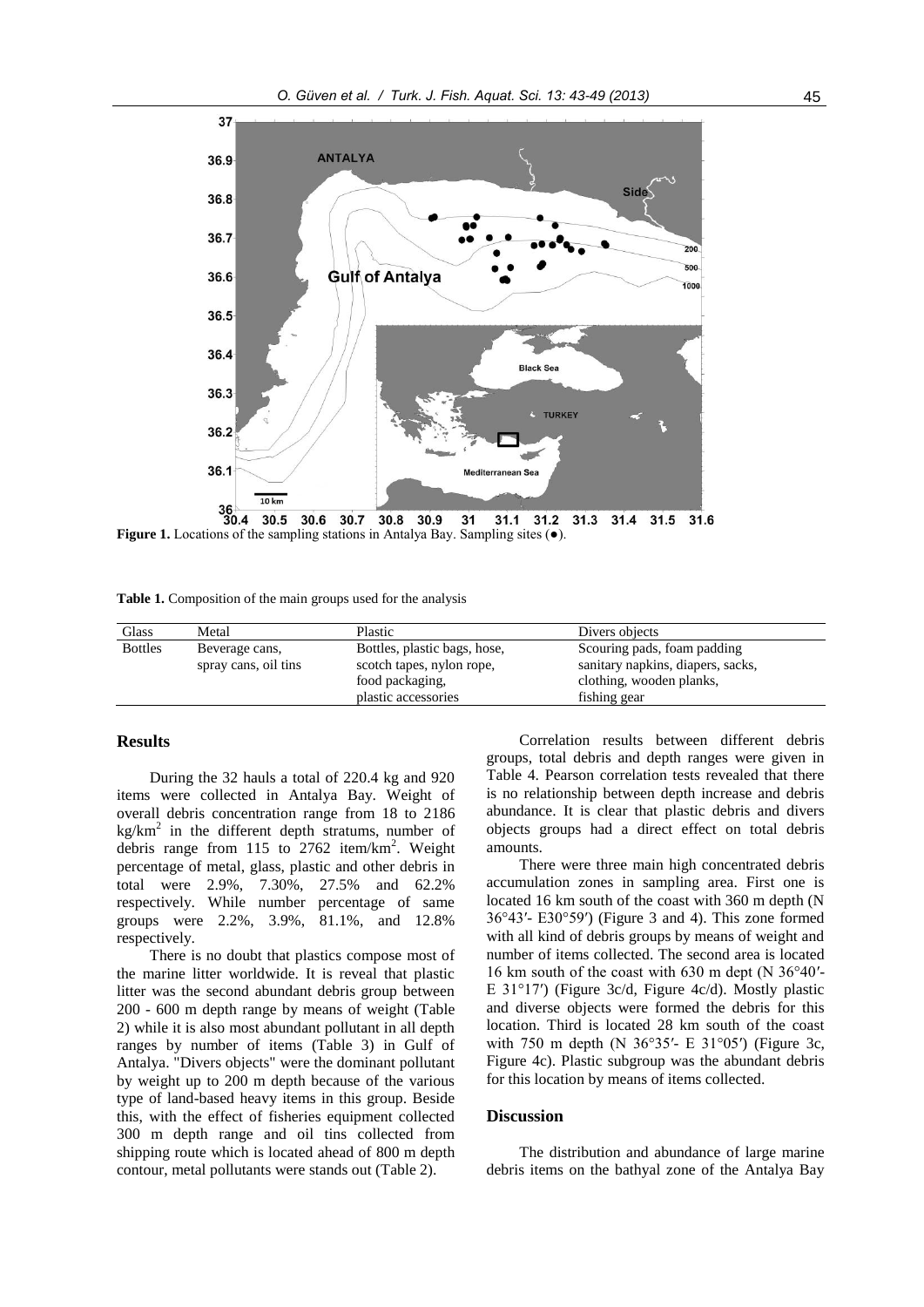

**Figure 1.** Locations of the sampling stations in Antalya Bay. Sampling sites (●). 30.5 30.6 30.7 30.8 30.9 31.1 31.2 31.3  $31.4$  $31$ 31.5 31.6

**Table 1.** Composition of the main groups used for the analysis

| Glass          | Metal                                  | Plastic                                                   | Divers objects                                                   |
|----------------|----------------------------------------|-----------------------------------------------------------|------------------------------------------------------------------|
| <b>Bottles</b> | Beverage cans,<br>spray cans, oil tins | Bottles, plastic bags, hose,<br>scotch tapes, nylon rope, | Scouring pads, foam padding<br>sanitary napkins, diapers, sacks, |
|                |                                        | food packaging,<br>plastic accessories                    | clothing, wooden planks,<br>fishing gear                         |

### **Results**

During the 32 hauls a total of 220.4 kg and 920 items were collected in Antalya Bay. Weight of overall debris concentration range from 18 to 2186  $kg/km<sup>2</sup>$  in the different depth stratums, number of debris range from 115 to 2762 item/km<sup>2</sup>. Weight percentage of metal, glass, plastic and other debris in total were 2.9%, 7.30%, 27.5% and 62.2% respectively. While number percentage of same groups were 2.2%, 3.9%, 81.1%, and 12.8% respectively.

There is no doubt that plastics compose most of the marine litter worldwide. It is reveal that plastic litter was the second abundant debris group between 200 - 600 m depth range by means of weight (Table 2) while it is also most abundant pollutant in all depth ranges by number of items (Table 3) in Gulf of Antalya. "Divers objects" were the dominant pollutant by weight up to 200 m depth because of the various type of land-based heavy items in this group. Beside this, with the effect of fisheries equipment collected 300 m depth range and oil tins collected from shipping route which is located ahead of 800 m depth contour, metal pollutants were stands out (Table 2).

Correlation results between different debris groups, total debris and depth ranges were given in Table 4. Pearson correlation tests revealed that there is no relationship between depth increase and debris abundance. It is clear that plastic debris and divers objects groups had a direct effect on total debris amounts.

There were three main high concentrated debris accumulation zones in sampling area. First one is located 16 km south of the coast with 360 m depth (N 36°43′- E30°59′) (Figure 3 and 4). This zone formed with all kind of debris groups by means of weight and number of items collected. The second area is located 16 km south of the coast with 630 m dept (N 36°40′- E 31°17′) (Figure 3c/d, Figure 4c/d). Mostly plastic and diverse objects were formed the debris for this location. Third is located 28 km south of the coast with 750 m depth (N 36°35′- E 31°05′) (Figure 3c, Figure 4c). Plastic subgroup was the abundant debris for this location by means of items collected.

#### **Discussion**

The distribution and abundance of large marine debris items on the bathyal zone of the Antalya Bay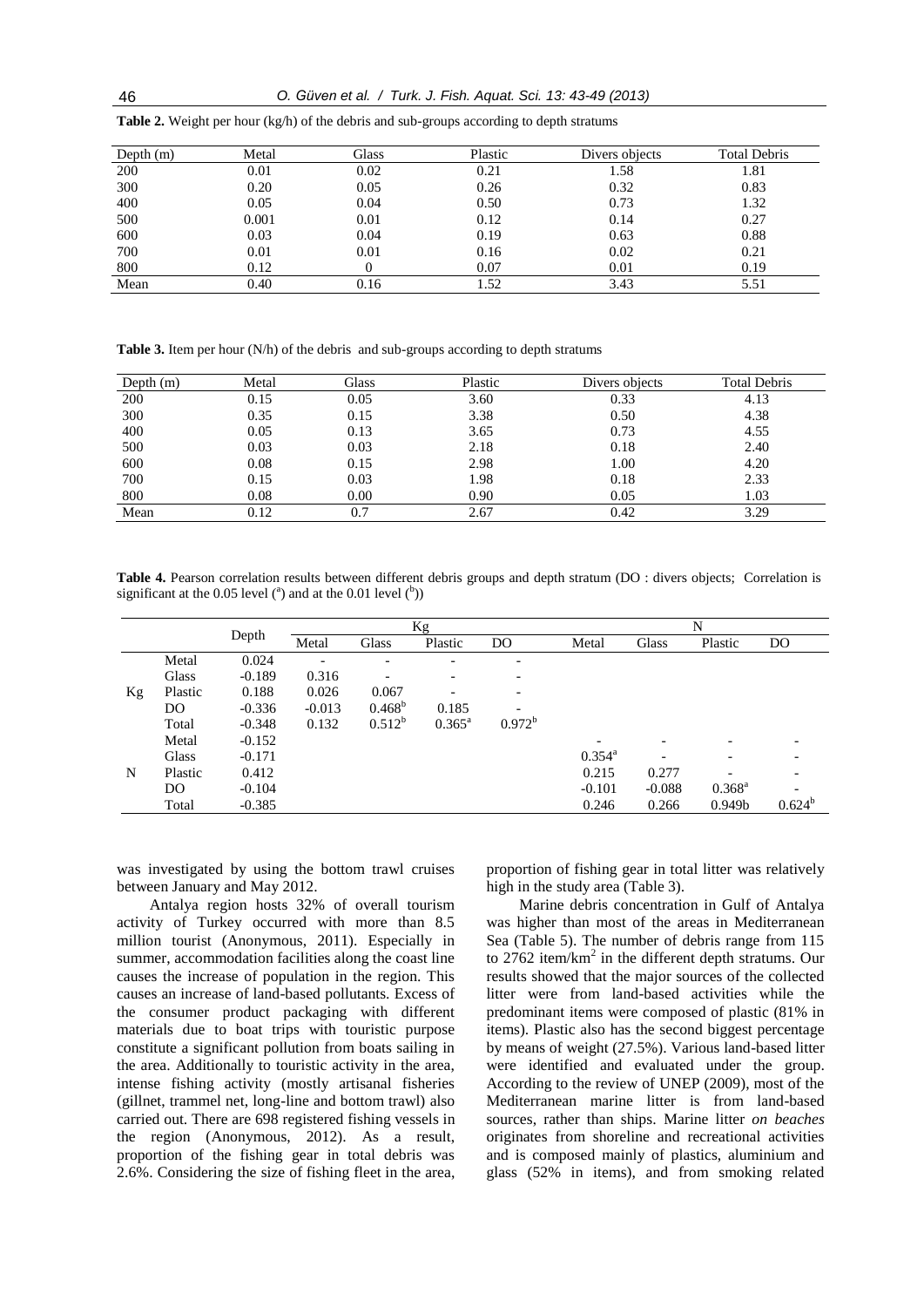| Depth $(m)$ | Metal | Glass | Plastic | Divers objects | <b>Total Debris</b> |
|-------------|-------|-------|---------|----------------|---------------------|
| 200         | 0.01  | 0.02  | 0.21    | 1.58           | 1.81                |
| 300         | 0.20  | 0.05  | 0.26    | 0.32           | 0.83                |
| 400         | 0.05  | 0.04  | 0.50    | 0.73           | 1.32                |
| 500         | 0.001 | 0.01  | 0.12    | 0.14           | 0.27                |
| 600         | 0.03  | 0.04  | 0.19    | 0.63           | 0.88                |
| 700         | 0.01  | 0.01  | 0.16    | 0.02           | 0.21                |
| 800         | 0.12  |       | 0.07    | 0.01           | 0.19                |
| Mean        | 0.40  | 0.16  | 1.52    | 3.43           | 5.51                |

**Table 2.** Weight per hour (kg/h) of the debris and sub-groups according to depth stratums

**Table 3.** Item per hour (N/h) of the debris and sub-groups according to depth stratums

| Depth $(m)$ | Metal | Glass | Plastic | Divers objects | <b>Total Debris</b> |
|-------------|-------|-------|---------|----------------|---------------------|
| 200         | 0.15  | 0.05  | 3.60    | 0.33           | 4.13                |
| 300         | 0.35  | 0.15  | 3.38    | 0.50           | 4.38                |
| 400         | 0.05  | 0.13  | 3.65    | 0.73           | 4.55                |
| 500         | 0.03  | 0.03  | 2.18    | 0.18           | 2.40                |
| 600         | 0.08  | 0.15  | 2.98    | 1.00           | 4.20                |
| 700         | 0.15  | 0.03  | 1.98    | 0.18           | 2.33                |
| 800         | 0.08  | 0.00  | 0.90    | 0.05           | 1.03                |
| Mean        | 0.12  |       | 2.67    | 0.42           | 3.29                |

**Table 4.** Pearson correlation results between different debris groups and depth stratum (DO : divers objects; Correlation is significant at the 0.05 level  $(^a)$  and at the 0.01 level  $(^b)$ )

|    |              | Depth    |                          | Кg                       |                          |                          | N               |          |                          |                |
|----|--------------|----------|--------------------------|--------------------------|--------------------------|--------------------------|-----------------|----------|--------------------------|----------------|
|    |              |          | Metal                    | Glass                    | Plastic                  | DO                       | Metal           | Glass    | Plastic                  | D <sub>O</sub> |
|    | Metal        | 0.024    | $\overline{\phantom{a}}$ | $\overline{\phantom{0}}$ | $\overline{\phantom{0}}$ | $\overline{\phantom{0}}$ |                 |          |                          |                |
|    | <b>Glass</b> | $-0.189$ | 0.316                    |                          |                          | -                        |                 |          |                          |                |
| Kg | Plastic      | 0.188    | 0.026                    | 0.067                    | $\overline{\phantom{0}}$ | -                        |                 |          |                          |                |
|    | DO.          | $-0.336$ | $-0.013$                 | $0.468^{b}$              | 0.185                    |                          |                 |          |                          |                |
|    | Total        | $-0.348$ | 0.132                    | $0.512^{b}$              | $0.365^{\rm a}$          | $0.972^b$                |                 |          |                          |                |
| N  | Metal        | $-0.152$ |                          |                          |                          |                          |                 |          |                          |                |
|    | Glass        | $-0.171$ |                          |                          |                          |                          | $0.354^{\rm a}$ |          | $\overline{\phantom{0}}$ |                |
|    | Plastic      | 0.412    |                          |                          |                          |                          | 0.215           | 0.277    |                          |                |
|    | DO.          | $-0.104$ |                          |                          |                          |                          | $-0.101$        | $-0.088$ | $0.368^{\rm a}$          |                |
|    | Total        | $-0.385$ |                          |                          |                          |                          | 0.246           | 0.266    | 0.949 <sub>b</sub>       | $0.624^{b}$    |
|    |              |          |                          |                          |                          |                          |                 |          |                          |                |

was investigated by using the bottom trawl cruises between January and May 2012.

Antalya region hosts 32% of overall tourism activity of Turkey occurred with more than 8.5 million tourist (Anonymous, 2011). Especially in summer, accommodation facilities along the coast line causes the increase of population in the region. This causes an increase of land-based pollutants. Excess of the consumer product packaging with different materials due to boat trips with touristic purpose constitute a significant pollution from boats sailing in the area. Additionally to touristic activity in the area, intense fishing activity (mostly artisanal fisheries (gillnet, trammel net, long-line and bottom trawl) also carried out. There are 698 registered fishing vessels in the region (Anonymous, 2012). As a result, proportion of the fishing gear in total debris was 2.6%. Considering the size of fishing fleet in the area,

proportion of fishing gear in total litter was relatively high in the study area (Table 3).

Marine debris concentration in Gulf of Antalya was higher than most of the areas in Mediterranean Sea (Table 5). The number of debris range from 115 to 2762 item/ $km<sup>2</sup>$  in the different depth stratums. Our results showed that the major sources of the collected litter were from land-based activities while the predominant items were composed of plastic (81% in items). Plastic also has the second biggest percentage by means of weight (27.5%). Various land-based litter were identified and evaluated under the group. According to the review of UNEP (2009), most of the Mediterranean marine litter is from land-based sources, rather than ships. Marine litter *on beaches*  originates from shoreline and recreational activities and is composed mainly of plastics, aluminium and glass (52% in items), and from smoking related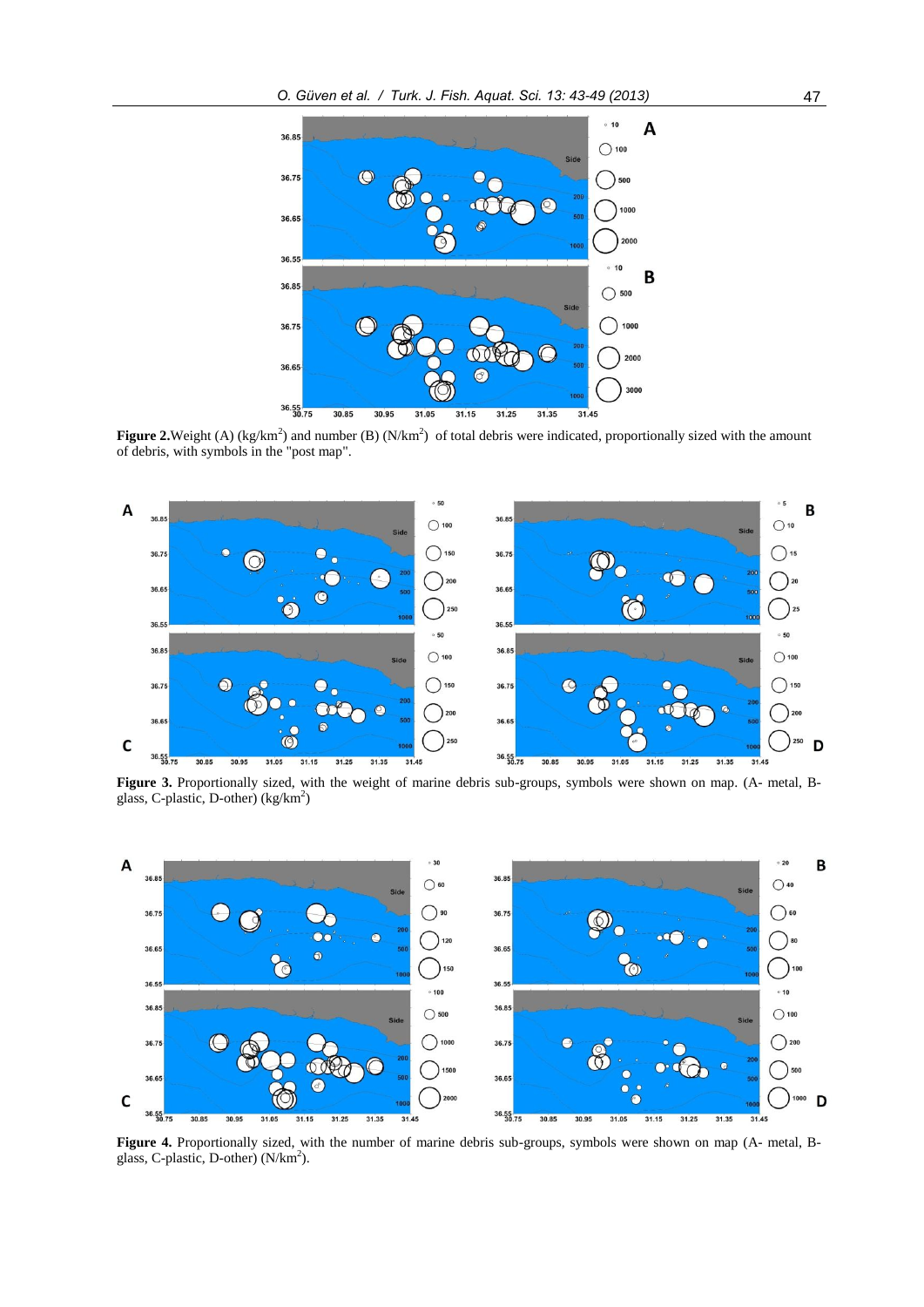

**Figure 2.** Weight (A) ( $kg/km<sup>2</sup>$ ) and number (B) ( $N/km<sup>2</sup>$ ) of total debris were indicated, proportionally sized with the amount of debris, with symbols in the "post map".



**Figure 3.** Proportionally sized, with the weight of marine debris sub-groups, symbols were shown on map. (A- metal, Bglass, C-plastic, D-other) (kg/km<sup>2</sup>)



**Figure 4.** Proportionally sized, with the number of marine debris sub-groups, symbols were shown on map (A- metal, Bglass, C-plastic, D-other) (N/km<sup>2</sup>).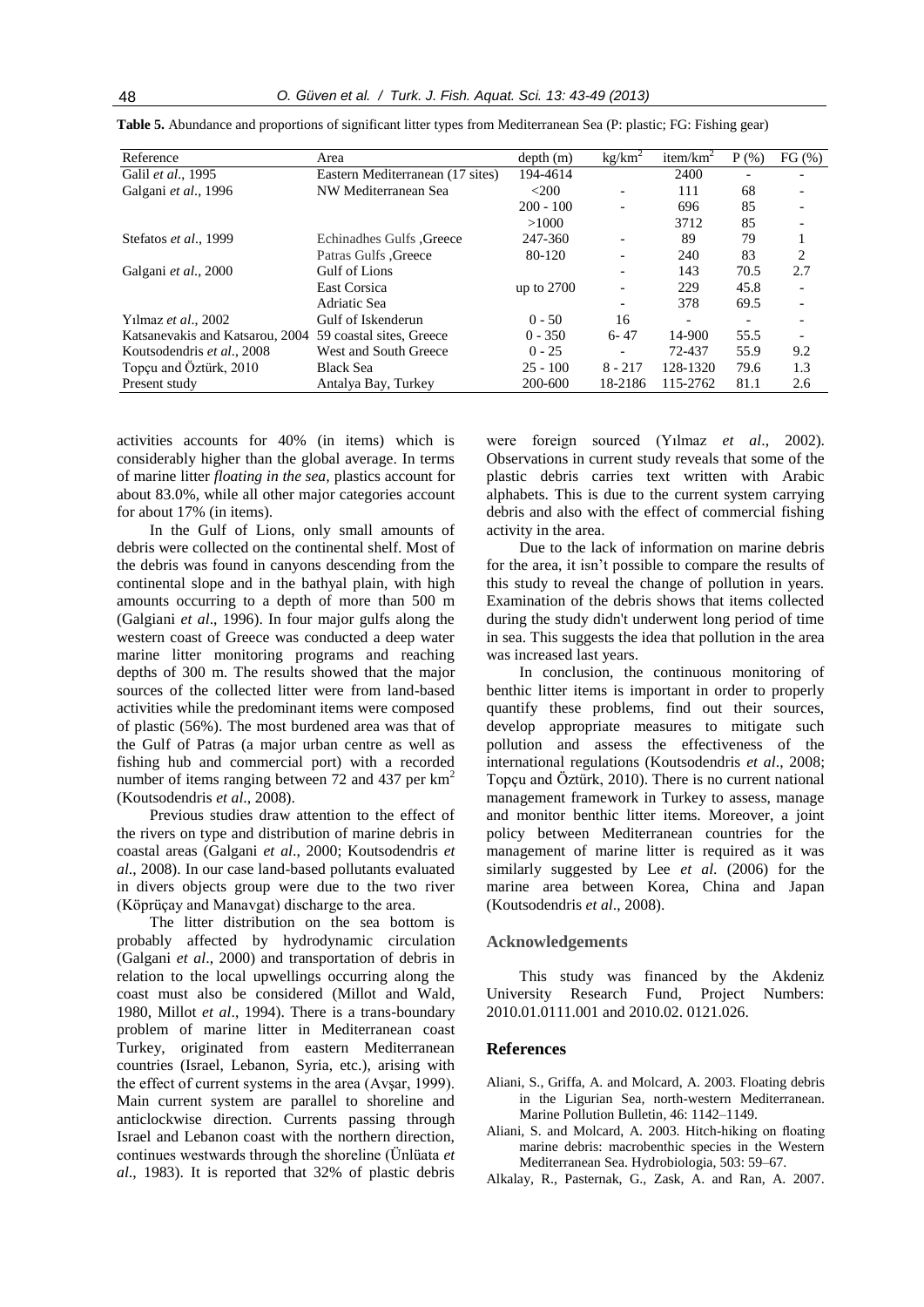| Reference                       | Area                             | depth(m)     | kg/km <sup>2</sup> | item/km <sup>2</sup>     | $P($ %)                  | $FG \left( % \right)$ |
|---------------------------------|----------------------------------|--------------|--------------------|--------------------------|--------------------------|-----------------------|
| Galil et al., 1995              | Eastern Mediterranean (17 sites) | 194-4614     |                    | 2400                     |                          |                       |
| Galgani et al., 1996            | NW Mediterranean Sea             | $<$ 200      |                    | 111                      | 68                       |                       |
|                                 |                                  | $200 - 100$  |                    | 696                      | 85                       |                       |
|                                 |                                  | >1000        |                    | 3712                     | 85                       |                       |
| Stefatos et al., 1999           | <b>Echinadhes Gulfs</b> , Greece | 247-360      | ۰                  | 89                       | 79                       |                       |
|                                 | <b>Patras Gulfs .Greece</b>      | 80-120       |                    | 240                      | 83                       | 2                     |
| Galgani et al., 2000            | Gulf of Lions                    |              |                    | 143                      | 70.5                     | 2.7                   |
|                                 | East Corsica                     | up to $2700$ |                    | 229                      | 45.8                     |                       |
|                                 | Adriatic Sea                     |              |                    | 378                      | 69.5                     |                       |
| Yilmaz et al., 2002             | Gulf of Iskenderun               | $0 - 50$     | 16                 | $\overline{\phantom{a}}$ | $\overline{\phantom{0}}$ |                       |
| Katsanevakis and Katsarou, 2004 | 59 coastal sites. Greece         | $0 - 350$    | $6 - 47$           | 14-900                   | 55.5                     |                       |
| Koutsodendris et al., 2008      | West and South Greece            | $0 - 25$     |                    | 72-437                   | 55.9                     | 9.2                   |
| Topçu and Öztürk, 2010          | <b>Black Sea</b>                 | $25 - 100$   | $8 - 217$          | 128-1320                 | 79.6                     | 1.3                   |
| Present study                   | Antalya Bay, Turkey              | 200-600      | 18-2186            | 115-2762                 | 81.1                     | 2.6                   |

**Table 5.** Abundance and proportions of significant litter types from Mediterranean Sea (P: plastic; FG: Fishing gear)

activities accounts for 40% (in items) which is considerably higher than the global average. In terms of marine litter *floating in the sea,* plastics account for about 83.0%, while all other major categories account for about 17% (in items).

In the Gulf of Lions, only small amounts of debris were collected on the continental shelf. Most of the debris was found in canyons descending from the continental slope and in the bathyal plain, with high amounts occurring to a depth of more than 500 m (Galgiani *et al*., 1996). In four major gulfs along the western coast of Greece was conducted a deep water marine litter monitoring programs and reaching depths of 300 m. The results showed that the major sources of the collected litter were from land-based activities while the predominant items were composed of plastic (56%). The most burdened area was that of the Gulf of Patras (a major urban centre as well as fishing hub and commercial port) with a recorded number of items ranging between 72 and 437 per  $km<sup>2</sup>$ (Koutsodendris *et al*., 2008).

Previous studies draw attention to the effect of the rivers on type and distribution of marine debris in coastal areas (Galgani *et al*., 2000; Koutsodendris *et al*., 2008). In our case land-based pollutants evaluated in divers objects group were due to the two river (Köprüçay and Manavgat) discharge to the area.

The litter distribution on the sea bottom is probably affected by hydrodynamic circulation (Galgani *et al*., 2000) and transportation of debris in relation to the local upwellings occurring along the coast must also be considered (Millot and Wald, 1980, Millot *et al*., 1994). There is a trans-boundary problem of marine litter in Mediterranean coast Turkey, originated from eastern Mediterranean countries (Israel, Lebanon, Syria, etc.), arising with the effect of current systems in the area (Avşar, 1999). Main current system are parallel to shoreline and anticlockwise direction. Currents passing through Israel and Lebanon coast with the northern direction, continues westwards through the shoreline (Ünlüata *et al*., 1983). It is reported that 32% of plastic debris

were foreign sourced (Yılmaz *et al*., 2002). Observations in current study reveals that some of the plastic debris carries text written with Arabic alphabets. This is due to the current system carrying debris and also with the effect of commercial fishing activity in the area.

Due to the lack of information on marine debris for the area, it isn't possible to compare the results of this study to reveal the change of pollution in years. Examination of the debris shows that items collected during the study didn't underwent long period of time in sea. This suggests the idea that pollution in the area was increased last years.

In conclusion, the continuous monitoring of benthic litter items is important in order to properly quantify these problems, find out their sources, develop appropriate measures to mitigate such pollution and assess the effectiveness of the international regulations (Koutsodendris *et al*., 2008; Topcu and Öztürk, 2010). There is no current national management framework in Turkey to assess, manage and monitor benthic litter items. Moreover, a joint policy between Mediterranean countries for the management of marine litter is required as it was similarly suggested by Lee *et al*. (2006) for the marine area between Korea, China and Japan (Koutsodendris *et al*., 2008).

#### **Acknowledgements**

This study was financed by the Akdeniz University Research Fund, Project Numbers: 2010.01.0111.001 and 2010.02. 0121.026.

#### **References**

- Aliani, S., Griffa, A. and Molcard, A. 2003. Floating debris in the Ligurian Sea, north-western Mediterranean. Marine Pollution Bulletin, 46: 1142–1149.
- Aliani, S. and Molcard, A. 2003. Hitch-hiking on floating marine debris: macrobenthic species in the Western Mediterranean Sea. Hydrobiologia, 503: 59–67.
- Alkalay, R., Pasternak, G., Zask, A. and Ran, A. 2007.